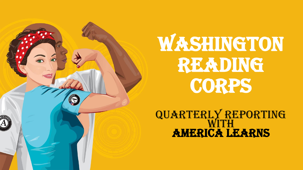

# WASHINGTON READING CORPS

QUARTERLY REPORTING AMERICA LEARNS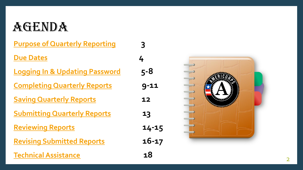## <span id="page-1-0"></span>AGENDA

| <b>Purpose of Quarterly Reporting</b>     | 3         |
|-------------------------------------------|-----------|
| <b>Due Dates</b>                          | 4         |
| <b>Logging In &amp; Updating Password</b> | $5 - 8$   |
| <b>Completing Quarterly Reports</b>       | $9 - 11$  |
| <b>Saving Quarterly Reports</b>           | 12        |
| <b>Submitting Quarterly Reports</b>       | 13        |
| <b>Reviewing Reports</b>                  | 14-15     |
| <b>Revising Submitted Reports</b>         | $16 - 17$ |
| <b>Technical Assistance</b>               | 18        |

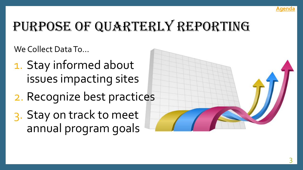

# <span id="page-2-0"></span>PURPOSE OF QUARTERLY REPORTING

We Collect Data To…

- 1. Stay informed about issues impacting sites
- 2. Recognize best practices
- 3. Stay on track to meet annual program goals

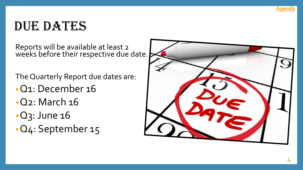

### <span id="page-3-0"></span>DUE DATES

Reports will be available at least 2 weeks before their respective due date.

The Quarterly Report due dates are:

- •Q1: December 16
- •Q2: March 16
- •Q3: June 16
- •Q4: September 15

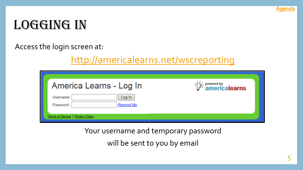

## <span id="page-4-0"></span>Logging In

Access the login screen at:

<http://americalearns.net/wscreporting>

| America Learns - Log In                              | <sup>2</sup> / <sup>2</sup> powered by<br><b>2<sup>1</sup> americalearns</b> |
|------------------------------------------------------|------------------------------------------------------------------------------|
| Log In<br>Username:<br><b>Remind Me</b><br>Password: |                                                                              |
| Terms of Service   Privacy Policy                    |                                                                              |

Your username and temporary password will be sent to you by email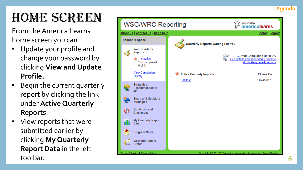

# HOME SCREEN

From the America Learns home screen you can …

- Update your profile and change your password by clicking **View and Update Profile.**
- Begin the current quarterly report by clicking the link under **Active Quarterly Reports**.
- View reports that were submitted earlier by clicking **My Quarterly Report Data** in the left toolbar.

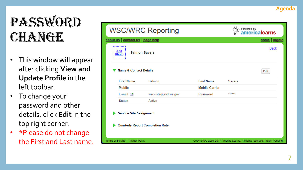

# PASSWORD CHANGE

- This window will appear after clicking **View and Update Profile** in the left toolbar.
- To change your password and other details, click **Edit** in the top right corner.
- \*Please do not change the First and Last name.

| <b>WSC/WRC Reporting</b>                                                                                                                                                                            |                                   |                     | powered by<br><b>americalearns</b> |               |             |
|-----------------------------------------------------------------------------------------------------------------------------------------------------------------------------------------------------|-----------------------------------|---------------------|------------------------------------|---------------|-------------|
| <u>about us   contact us   page help </u>                                                                                                                                                           |                                   |                     |                                    | home   logout |             |
| <b>Add</b><br><b>Salmon Savers</b><br><b>Photo</b>                                                                                                                                                  |                                   |                     |                                    |               | <b>Back</b> |
|                                                                                                                                                                                                     | <b>Name &amp; Contact Details</b> |                     |                                    |               | Edit        |
|                                                                                                                                                                                                     | <b>First Name</b>                 | Salmon              | <b>Last Name</b>                   | Savers        |             |
| <b>Mobile</b>                                                                                                                                                                                       |                                   |                     | <b>Mobile Carrier</b>              |               |             |
|                                                                                                                                                                                                     | $E$ -mail $\blacksquare$          | wscvista@esd.wa.gov | Password                           | ******        |             |
| <b>Status</b>                                                                                                                                                                                       |                                   | Active              |                                    |               |             |
| <b>Service Site Assignment</b><br><b>Quarterly Report Completion Rate</b><br><b>Terms of Service   Privacy Policy</b><br>Copyright @ 2001-2017 America Learns. All rights reserved. Patent Pending. |                                   |                     |                                    |               |             |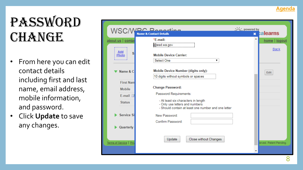

# PASSWORD CHANGE

- From here you can edit contact details including first and last name, email address, mobile information, and password.
- Click **Update** to save any changes.

|                                                                 | his powered by<br>WSC/WBC Penerting<br><b>Name &amp; Contact Details</b>                                                                                                          | <b>x</b> calearns            |
|-----------------------------------------------------------------|-----------------------------------------------------------------------------------------------------------------------------------------------------------------------------------|------------------------------|
| about us   contar<br>Add<br>S.<br>Photo                         | ዹ<br>*E-mail:<br>@esd.wa.gov<br><b>Mobile Device Carrier:</b><br>Select One<br>▼                                                                                                  | home   logout<br><b>Back</b> |
| Name & C                                                        | <b>Mobile Device Number (digits only):</b><br>10 digits without symbols or spaces                                                                                                 | Edit                         |
| <b>First Nam</b><br><b>Mobile</b><br>$E$ -mail<br><b>Status</b> | <b>Change Password:</b><br>Password Requirements:<br>- At least six characters in length<br>- Only use letters and numbers<br>- Should contain at least one number and one letter |                              |
| Service Si<br>Quarterly                                         | New Password:<br>Confirm Password:                                                                                                                                                |                              |
| Terms of Service   Priv                                         | Close without Changes<br>Update                                                                                                                                                   | erved. Patent Pending.       |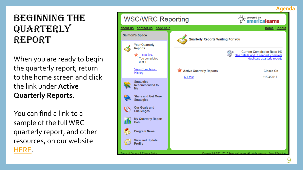### <span id="page-8-0"></span>BEGINNING THE QUARTERLY Report

When you are ready to begin the quarterly report, return to the home screen and click the link under **Active Quarterly Reports**.

You can find a link to a sample of the full WRC quarterly report, and other resources, on our website [HERE.](https://washingtonservicecorps.org/site-staff-resources/#quarterlyreporting)



**[Agenda](#page-1-0)**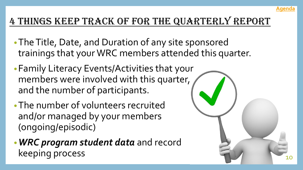### 4 Things keep track of for the Quarterly Report

- •The Title, Date, and Duration of any site sponsored trainings that your WRC members attended this quarter.
- •Family Literacy Events/Activities that your members were involved with this quarter, and the number of participants.
- •The number of volunteers recruited and/or managed by your members (ongoing/episodic)
- •*WRC program student data* and record keeping process



**[Agenda](#page-1-0)**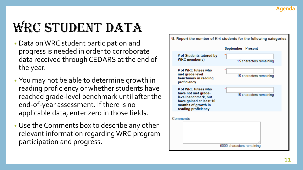# WRC STUDENT DATA

- Data on WRC student participation and progress is needed in order to corroborate data received through CEDARS at the end of the year.
- You may not be able to determine growth in reading proficiency or whether students have reached grade -level benchmark until after the end -of -year assessment. If there is no applicable data, enter zero in those fields.
- Use the Comments box to describe any other relevant information regarding WRC program participation and progress.

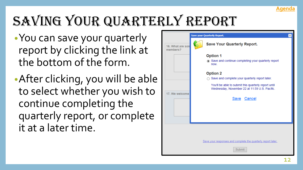

# <span id="page-11-0"></span>SAVING YOUR QUARTERLY REPORT

- •You can save your quarterly report by clicking the link at the bottom of the form.
- •After clicking, you will be able to select whether you wish to continue completing the quarterly report, or complete it at a later time.

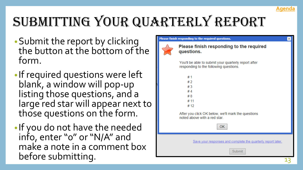

# <span id="page-12-0"></span>SUBMITTING YOUR QUARTERLY REPORT

- •Submit the report by clicking the button at the bottom of the form.
- If required questions were left blank, a window will pop-up listing those questions, and a large red star will appear next to those questions on the form.
- If you do not have the needed info, enter "0" or "N/A" and make a note in a comment box before submitting.

#### Please finish responding to the required questions.

 $# 1$ 



Please finish responding to the required questions.

You'll be able to submit your quarterly report after responding to the following questions.

| # 1  |  |  |  |
|------|--|--|--|
| #2   |  |  |  |
| #3   |  |  |  |
| #4   |  |  |  |
| #8   |  |  |  |
| # 11 |  |  |  |
| # 12 |  |  |  |
|      |  |  |  |

After you click OK below, we'll mark the questions noted above with a red star.

OK.

Save your responses and complete the quarterly report later.

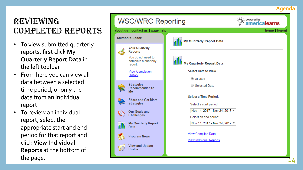#### **[Agenda](#page-1-0)**

### <span id="page-13-0"></span>Reviewing Completed Reports

- To view submitted quarterly reports, first click **My Quarterly Report Data** in the left toolbar
- From here you can view all data between a selected time period, or only the data from an individual report.
- To review an individual report, select the appropriate start and end period for that report and click **View Individual Reports** at the bottom of

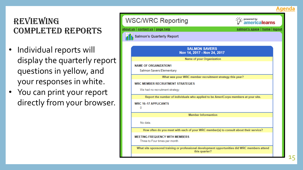#### **[Agenda](#page-1-0)**

### REVIEWING Completed Reports

- Individual reports will display the quarterly report questions in yellow, and your responses in white.
- You can print your report directly from your browser.

| <b>WSC/WRC Reporting</b>                                                                                       | powered by<br><b>americalearns</b> |
|----------------------------------------------------------------------------------------------------------------|------------------------------------|
| about us   contact us   page help                                                                              | salmon's space   home   logout     |
| <b>Salmon's Quarterly Report</b>                                                                               |                                    |
| <b>SALMON SAVERS</b><br>Nov 14, 2017 - Nov 24, 2017                                                            |                                    |
| Name of your Organization                                                                                      |                                    |
| <b>NAME OF ORGANIZATION1</b><br>Salmon Savers Elementary                                                       |                                    |
| What was your WRC member recruitment strategy this year?                                                       |                                    |
| <b>WRC MEMBER RECRUITMENT STRATEGIES</b>                                                                       |                                    |
| We had no recruitment strategy                                                                                 |                                    |
| Report the number of individuals who applied to be AmeriCorps members at your site.                            |                                    |
| <b>WRC 16-17 APPLICANTS</b><br>0                                                                               |                                    |
| <b>Member Informantion</b>                                                                                     |                                    |
| No data.                                                                                                       |                                    |
| How often do you meet with each of your WRC member(s) to consult about their service?                          |                                    |
| <b>MEETING FREQUENCY WITH MEMBERS</b><br>Three to Four times per month                                         |                                    |
| What site sponsored training or professional development opportunities did WRC members attend<br>this quarter? |                                    |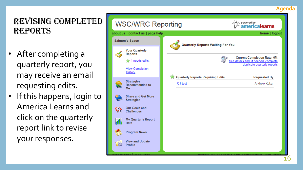

### <span id="page-15-0"></span>Revising Completed Reports

- After completing a quarterly report, you may receive an email requesting edits.
- If this happens, login to America Learns and click on the quarterly report link to revise your responses.

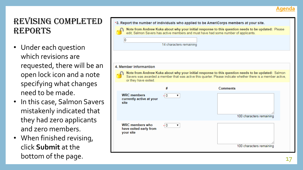

#### Revising Completed Reports

- Under each question which revisions are requested, there will be an open lock icon and a note specifying what changes need to be made.
- In this case, Salmon Savers mistakenly indicated that they had zero applicants and zero members.
- When finished revising, click **Submit** at the bottom of the page.

| *3. Report the number of individuals who applied to be AmeriCorps members at your site. |                                                                                     |                                                                                                                                                                                                                   |  |
|-----------------------------------------------------------------------------------------|-------------------------------------------------------------------------------------|-------------------------------------------------------------------------------------------------------------------------------------------------------------------------------------------------------------------|--|
|                                                                                         | edit, Salmon Savers has active members and must have had some number of applicants. | Note from Andrew Kuka about why your initial response to this question needs to be updated: Please                                                                                                                |  |
| 0                                                                                       | 14 characters remaining                                                             |                                                                                                                                                                                                                   |  |
|                                                                                         |                                                                                     |                                                                                                                                                                                                                   |  |
| 4. Member Informantion                                                                  |                                                                                     |                                                                                                                                                                                                                   |  |
| or they have exited.                                                                    |                                                                                     | Note from Andrew Kuka about why your initial response to this question needs to be updated: Salmon<br>Savers was awarded a member that was active this quarter. Please indicate whether there is a member active, |  |
|                                                                                         | #                                                                                   | <b>Comments</b>                                                                                                                                                                                                   |  |
| <b>WRC</b> members<br>currently active at your<br>site                                  | $*0$<br>۷.                                                                          | 100 characters remaining                                                                                                                                                                                          |  |
| <b>WRC</b> members who<br>have exited early from<br>your site                           | $*0$<br>▼                                                                           | 100 characters remaining                                                                                                                                                                                          |  |